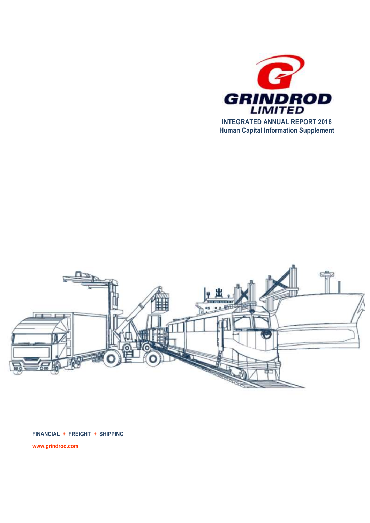



**FINANCIAL + FREIGHT + SHIPPING www.grindrod.com**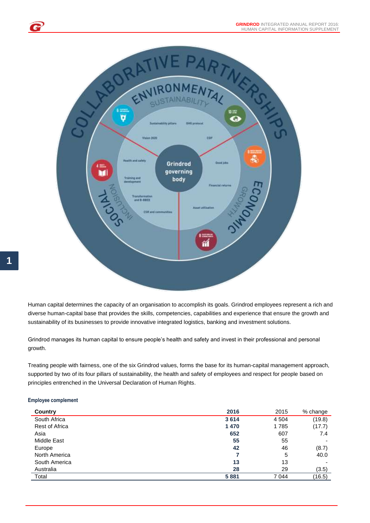

Human capital determines the capacity of an organisation to accomplish its goals. Grindrod employees represent a rich and diverse human-capital base that provides the skills, competencies, capabilities and experience that ensure the growth and sustainability of its businesses to provide innovative integrated logistics, banking and investment solutions.

Grindrod manages its human capital to ensure people's health and safety and invest in their professional and personal growth.

Treating people with fairness, one of the six Grindrod values, forms the base for its human-capital management approach, supported by two of its four pillars of sustainability, the health and safety of employees and respect for people based on principles entrenched in the Universal Declaration of Human Rights.

## **Employee complement**

| Country               | 2016 | 2015    | % change |
|-----------------------|------|---------|----------|
| South Africa          | 3614 | 4 5 0 4 | (19.8)   |
| <b>Rest of Africa</b> | 1470 | 1785    | (17.7)   |
| Asia                  | 652  | 607     | 7.4      |
| Middle East           | 55   | 55      | -        |
| Europe                | 42   | 46      | (8.7)    |
| North America         |      | 5       | 40.0     |
| South America         | 13   | 13      | -        |
| Australia             | 28   | 29      | (3.5)    |
| Total                 | 5881 | 7 0 4 4 | (16.5)   |

G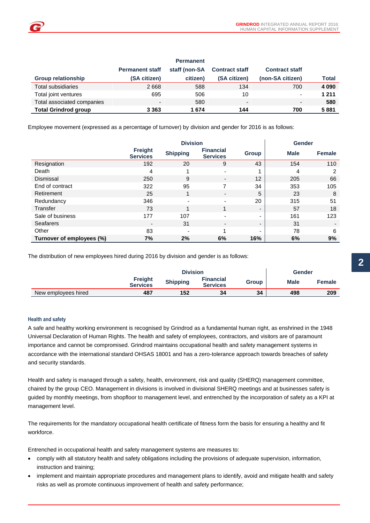|                             |                        | <b>Permanent</b> |                          |                          |         |
|-----------------------------|------------------------|------------------|--------------------------|--------------------------|---------|
|                             | <b>Permanent staff</b> | staff (non-SA    | <b>Contract staff</b>    | <b>Contract staff</b>    |         |
| <b>Group relationship</b>   | (SA citizen)           | citizen)         | (SA citizen)             | (non-SA citizen)         | Total   |
| Total subsidiaries          | 2668                   | 588              | 134                      | 700                      | 4 0 9 0 |
| Total joint ventures        | 695                    | 506              | 10                       | $\overline{\phantom{0}}$ | 1 2 1 1 |
| Total associated companies  | -                      | 580              | $\overline{\phantom{a}}$ | $\overline{\phantom{a}}$ | 580     |
| <b>Total Grindrod group</b> | 3 3 6 3                | 1674             | 144                      | 700                      | 5881    |

Employee movement (expressed as a percentage of turnover) by division and gender for 2016 is as follows:

|                           | <b>Division</b>            |                 |                                     |                          |             | <b>Gender</b> |
|---------------------------|----------------------------|-----------------|-------------------------------------|--------------------------|-------------|---------------|
|                           | Freight<br><b>Services</b> | <b>Shipping</b> | <b>Financial</b><br><b>Services</b> | Group                    | <b>Male</b> | <b>Female</b> |
| Resignation               | 192                        | 20              | 9                                   | 43                       | 154         | 110           |
| Death                     | 4                          | 4               | $\overline{\phantom{0}}$            |                          | 4           | 2             |
| <b>Dismissal</b>          | 250                        | 9               | $\overline{\phantom{a}}$            | 12                       | 205         | 66            |
| End of contract           | 322                        | 95              |                                     | 34                       | 353         | 105           |
| Retirement                | 25                         | $\mathbf{1}$    | $\overline{\phantom{a}}$            | 5                        | 23          | 8             |
| Redundancy                | 346                        | ۰               | $\overline{\phantom{0}}$            | 20                       | 315         | 51            |
| Transfer                  | 73                         | 1               | 1                                   | $\overline{\phantom{0}}$ | 57          | 18            |
| Sale of business          | 177                        | 107             | ۰                                   | $\sim$                   | 161         | 123           |
| <b>Seafarers</b>          | $\overline{\phantom{a}}$   | 31              | $\overline{\phantom{0}}$            | $\overline{\phantom{0}}$ | 31          |               |
| Other                     | 83                         | ۰               | 4                                   | $\blacksquare$           | 78          | 6             |
| Turnover of employees (%) | 7%                         | 2%              | 6%                                  | 16%                      | 6%          | 9%            |

The distribution of new employees hired during 2016 by division and gender is as follows:

|                     |                                   | <b>Division</b> |                                     |              | <b>Gender</b> |               |
|---------------------|-----------------------------------|-----------------|-------------------------------------|--------------|---------------|---------------|
|                     | <b>Freight</b><br><b>Services</b> | <b>Shipping</b> | <b>Financial</b><br><b>Services</b> | <b>Group</b> | <b>Male</b>   | <b>Female</b> |
| New employees hired | 487                               | 152             | 34                                  | 34           | 498           | 209           |

## **Health and safety**

A safe and healthy working environment is recognised by Grindrod as a fundamental human right, as enshrined in the 1948 Universal Declaration of Human Rights. The health and safety of employees, contractors, and visitors are of paramount importance and cannot be compromised. Grindrod maintains occupational health and safety management systems in accordance with the international standard OHSAS 18001 and has a zero-tolerance approach towards breaches of safety and security standards.

Health and safety is managed through a safety, health, environment, risk and quality (SHERQ) management committee, chaired by the group CEO. Management in divisions is involved in divisional SHERQ meetings and at businesses safety is guided by monthly meetings, from shopfloor to management level, and entrenched by the incorporation of safety as a KPI at management level.

The requirements for the mandatory occupational health certificate of fitness form the basis for ensuring a healthy and fit workforce.

Entrenched in occupational health and safety management systems are measures to:

- comply with all statutory health and safety obligations including the provisions of adequate supervision, information, instruction and training;
- implement and maintain appropriate procedures and management plans to identify, avoid and mitigate health and safety risks as well as promote continuous improvement of health and safety performance;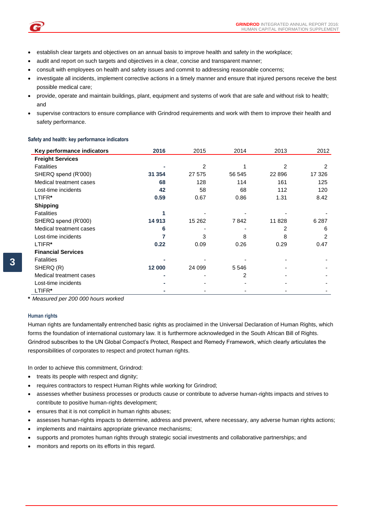- establish clear targets and objectives on an annual basis to improve health and safety in the workplace;
- audit and report on such targets and objectives in a clear, concise and transparent manner;
- consult with employees on health and safety issues and commit to addressing reasonable concerns;
- investigate all incidents, implement corrective actions in a timely manner and ensure that injured persons receive the best possible medical care;
- provide, operate and maintain buildings, plant, equipment and systems of work that are safe and without risk to health; and
- supervise contractors to ensure compliance with Grindrod requirements and work with them to improve their health and safety performance.

## **Safety and health: key performance indicators**

| Key performance indicators | 2016   | 2015   | 2014           | 2013    | 2012    |
|----------------------------|--------|--------|----------------|---------|---------|
| <b>Freight Services</b>    |        |        |                |         |         |
| <b>Fatalities</b>          |        | 2      |                | 2       | 2       |
| SHERQ spend (R'000)        | 31 354 | 27 575 | 56 545         | 22 8 96 | 17 326  |
| Medical treatment cases    | 68     | 128    | 114            | 161     | 125     |
| Lost-time incidents        | 42     | 58     | 68             | 112     | 120     |
| LTIFR*                     | 0.59   | 0.67   | 0.86           | 1.31    | 8.42    |
| <b>Shipping</b>            |        |        |                |         |         |
| <b>Fatalities</b>          |        |        |                |         |         |
| SHERQ spend (R'000)        | 14 913 | 15 262 | 7842           | 11 828  | 6 2 8 7 |
| Medical treatment cases    | 6      |        |                | 2       | 6       |
| Lost-time incidents        |        | 3      | 8              | 8       | 2       |
| LTIFR*                     | 0.22   | 0.09   | 0.26           | 0.29    | 0.47    |
| <b>Financial Services</b>  |        |        |                |         |         |
| <b>Fatalities</b>          |        |        |                |         |         |
| SHERQ (R)                  | 12 000 | 24 099 | 5 5 4 6        |         |         |
| Medical treatment cases    |        |        | $\overline{2}$ |         |         |
| Lost-time incidents        |        |        |                |         |         |
| LTIFR*                     |        |        |                |         |         |

**\*** *Measured per 200 000 hours worked*

## **Human rights**

Human rights are fundamentally entrenched basic rights as proclaimed in the Universal Declaration of Human Rights, which forms the foundation of international customary law. It is furthermore acknowledged in the South African Bill of Rights. Grindrod subscribes to the UN Global Compact's Protect, Respect and Remedy Framework, which clearly articulates the responsibilities of corporates to respect and protect human rights.

In order to achieve this commitment, Grindrod:

- treats its people with respect and dignity;
- requires contractors to respect Human Rights while working for Grindrod;
- assesses whether business processes or products cause or contribute to adverse human-rights impacts and strives to contribute to positive human-rights development;
- ensures that it is not complicit in human rights abuses;
- assesses human-rights impacts to determine, address and prevent, where necessary, any adverse human rights actions;
- implements and maintains appropriate grievance mechanisms;
- supports and promotes human rights through strategic social investments and collaborative partnerships; and
- monitors and reports on its efforts in this regard.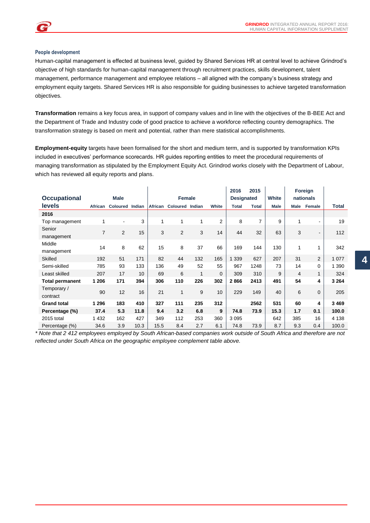## **People development**

Human-capital management is effected at business level, guided by Shared Services HR at central level to achieve Grindrod's objective of high standards for human-capital management through recruitment practices, skills development, talent management, performance management and employee relations – all aligned with the company's business strategy and employment equity targets. Shared Services HR is also responsible for guiding businesses to achieve targeted transformation objectives.

**Transformation** remains a key focus area, in support of company values and in line with the objectives of the B-BEE Act and the Department of Trade and Industry code of good practice to achieve a workforce reflecting country demographics. The transformation strategy is based on merit and potential, rather than mere statistical accomplishments.

**Employment-equity** targets have been formalised for the short and medium term, and is supported by transformation KPIs included in executives' performance scorecards. HR guides reporting entities to meet the procedural requirements of managing transformation as stipulated by the Employment Equity Act. Grindrod works closely with the Department of Labour, which has reviewed all equity reports and plans.

| <b>Occupational</b>     |                | <b>Male</b>     |                 |         | <b>Female</b>          |     |                | 2016<br><b>Designated</b> | 2015           | <b>White</b> |                | Foreign<br>nationals     |         |
|-------------------------|----------------|-----------------|-----------------|---------|------------------------|-----|----------------|---------------------------|----------------|--------------|----------------|--------------------------|---------|
| <b>levels</b>           | African        | Coloured Indian |                 | African | <b>Coloured Indian</b> |     | White          | <b>Total</b>              | <b>Total</b>   | <b>Male</b>  | Male           | Female                   | Total   |
| 2016                    |                |                 |                 |         |                        |     |                |                           |                |              |                |                          |         |
| Top management          | 1              | $\blacksquare$  | 3               | 1       | 1                      | 1   | $\overline{2}$ | 8                         | $\overline{7}$ | 9            | 1              | $\blacksquare$           | 19      |
| Senior<br>management    | $\overline{7}$ | 2               | 15              | 3       | $\overline{2}$         | 3   | 14             | 44                        | 32             | 63           | 3              | $\overline{\phantom{a}}$ | 112     |
| Middle<br>management    | 14             | 8               | 62              | 15      | 8                      | 37  | 66             | 169                       | 144            | 130          | 1              |                          | 342     |
| <b>Skilled</b>          | 192            | 51              | 171             | 82      | 44                     | 132 | 165            | 1 3 3 9                   | 627            | 207          | 31             | $\overline{2}$           | 1 0 7 7 |
| Semi-skilled            | 785            | 93              | 133             | 136     | 49                     | 52  | 55             | 967                       | 1248           | 73           | 14             | $\mathbf 0$              | 1 3 9 0 |
| Least skilled           | 207            | 17              | 10 <sup>°</sup> | 69      | 6                      | 1   | $\mathbf{0}$   | 309                       | 310            | 9            | $\overline{4}$ | $\mathbf{1}$             | 324     |
| <b>Total permanent</b>  | 1 206          | 171             | 394             | 306     | 110                    | 226 | 302            | 2866                      | 2413           | 491          | 54             | 4                        | 3 2 6 4 |
| Temporary /<br>contract | 90             | 12              | 16              | 21      | 1                      | 9   | 10             | 229                       | 149            | 40           | 6              | $\mathbf 0$              | 205     |
| <b>Grand total</b>      | 1 2 9 6        | 183             | 410             | 327     | 111                    | 235 | 312            |                           | 2562           | 531          | 60             | 4                        | 3 4 6 9 |
| Percentage (%)          | 37.4           | 5.3             | 11.8            | 9.4     | 3.2                    | 6.8 | 9              | 74.8                      | 73.9           | 15.3         | 1.7            | 0.1                      | 100.0   |
| 2015 total              | 1 4 3 2        | 162             | 427             | 349     | 112                    | 253 | 360            | 3095                      |                | 642          | 385            | 16                       | 4 1 3 8 |
| Percentage (%)          | 34.6           | 3.9             | 10.3            | 15.5    | 8.4                    | 2.7 | 6.1            | 74.8                      | 73.9           | 8.7          | 9.3            | 0.4                      | 100.0   |

*\* Note that 2 412 employees employed by South African-based companies work outside of South Africa and therefore are not reflected under South Africa on the geographic employee complement table above.*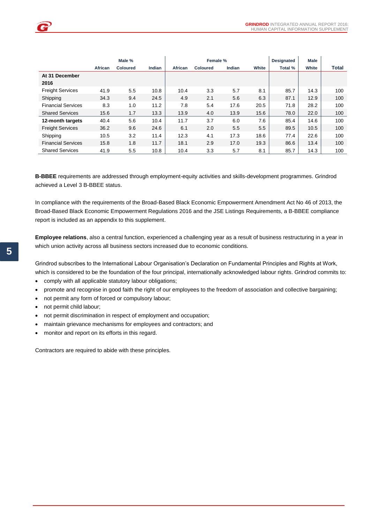|                           |         | Male %          |        |         | Female %        |        |       | <b>Designated</b> | <b>Male</b> |              |
|---------------------------|---------|-----------------|--------|---------|-----------------|--------|-------|-------------------|-------------|--------------|
|                           | African | <b>Coloured</b> | Indian | African | <b>Coloured</b> | Indian | White | Total %           | White       | <b>Total</b> |
| At 31 December            |         |                 |        |         |                 |        |       |                   |             |              |
| 2016                      |         |                 |        |         |                 |        |       |                   |             |              |
| <b>Freight Services</b>   | 41.9    | 5.5             | 10.8   | 10.4    | 3.3             | 5.7    | 8.1   | 85.7              | 14.3        | 100          |
| Shipping                  | 34.3    | 9.4             | 24.5   | 4.9     | 2.1             | 5.6    | 6.3   | 87.1              | 12.9        | 100          |
| <b>Financial Services</b> | 8.3     | 1.0             | 11.2   | 7.8     | 5.4             | 17.6   | 20.5  | 71.8              | 28.2        | 100          |
| <b>Shared Services</b>    | 15.6    | 1.7             | 13.3   | 13.9    | 4.0             | 13.9   | 15.6  | 78.0              | 22.0        | 100          |
| 12-month targets          | 40.4    | 5.6             | 10.4   | 11.7    | 3.7             | 6.0    | 7.6   | 85.4              | 14.6        | 100          |
| <b>Freight Services</b>   | 36.2    | 9.6             | 24.6   | 6.1     | 2.0             | 5.5    | 5.5   | 89.5              | 10.5        | 100          |
| Shipping                  | 10.5    | 3.2             | 11.4   | 12.3    | 4.1             | 17.3   | 18.6  | 77.4              | 22.6        | 100          |
| <b>Financial Services</b> | 15.8    | 1.8             | 11.7   | 18.1    | 2.9             | 17.0   | 19.3  | 86.6              | 13.4        | 100          |
| <b>Shared Services</b>    | 41.9    | 5.5             | 10.8   | 10.4    | 3.3             | 5.7    | 8.1   | 85.7              | 14.3        | 100          |

**B-BBEE** requirements are addressed through employment-equity activities and skills-development programmes. Grindrod achieved a Level 3 B-BBEE status.

In compliance with the requirements of the Broad-Based Black Economic Empowerment Amendment Act No 46 of 2013, the Broad-Based Black Economic Empowerment Regulations 2016 and the JSE Listings Requirements, a B-BBEE compliance report is included as an appendix to this supplement.

**Employee relations**, also a central function, experienced a challenging year as a result of business restructuring in a year in which union activity across all business sectors increased due to economic conditions.

Grindrod subscribes to the International Labour Organisation's Declaration on Fundamental Principles and Rights at Work, which is considered to be the foundation of the four principal, internationally acknowledged labour rights. Grindrod commits to:

- comply with all applicable statutory labour obligations;
- promote and recognise in good faith the right of our employees to the freedom of association and collective bargaining;
- not permit any form of forced or compulsory labour;
- not permit child labour;
- not permit discrimination in respect of employment and occupation;
- maintain grievance mechanisms for employees and contractors; and
- monitor and report on its efforts in this regard.

Contractors are required to abide with these principles.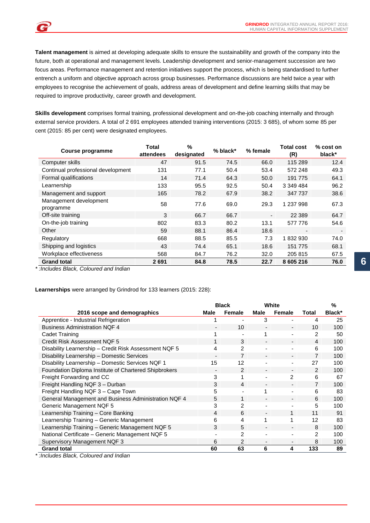**Talent management** is aimed at developing adequate skills to ensure the sustainability and growth of the company into the future, both at operational and management levels. Leadership development and senior-management succession are two focus areas. Performance management and retention initiatives support the process, which is being standardised to further entrench a uniform and objective approach across group businesses. Performance discussions are held twice a year with employees to recognise the achievement of goals, address areas of development and define learning skills that may be required to improve productivity, career growth and development.

**Skills development** comprises formal training, professional development and on-the-job coaching internally and through external service providers. A total of 2 691 employees attended training interventions (2015: 3 685), of whom some 85 per cent (2015: 85 per cent) were designated employees.

| Course programme                    | Total<br>attendees | %<br>designated | $%$ black* | % female       | <b>Total cost</b><br>(R) | % cost on<br>black*      |
|-------------------------------------|--------------------|-----------------|------------|----------------|--------------------------|--------------------------|
| Computer skills                     | 47                 | 91.5            | 74.5       | 66.0           | 115 289                  | 12.4                     |
| Continual professional development  | 131                | 77.1            | 50.4       | 53.4           | 572 248                  | 49.3                     |
| Formal qualifications               | 14                 | 71.4            | 64.3       | 50.0           | 191 775                  | 64.1                     |
| Learnership                         | 133                | 95.5            | 92.5       | 50.4           | 3 349 484                | 96.2                     |
| Management and support              | 165                | 78.2            | 67.9       | 38.2           | 347 737                  | 38.6                     |
| Management development<br>programme | 58                 | 77.6            | 69.0       | 29.3           | 1 237 998                | 67.3                     |
| Off-site training                   | 3                  | 66.7            | 66.7       | $\blacksquare$ | 22 3 89                  | 64.7                     |
| On-the-job training                 | 802                | 83.3            | 80.2       | 13.1           | 577 776                  | 54.6                     |
| Other                               | 59                 | 88.1            | 86.4       | 18.6           |                          | $\overline{\phantom{a}}$ |
| Regulatory                          | 668                | 88.5            | 85.5       | 7.3            | 1832930                  | 74.0                     |
| Shipping and logistics              | 43                 | 74.4            | 65.1       | 18.6           | 151 775                  | 68.1                     |
| Workplace effectiveness             | 568                | 84.7            | 76.2       | 32.0           | 205 815                  | 67.5                     |
| <b>Grand total</b>                  | 2691               | 84.8            | 78.5       | 22.7           | 8 605 216                | 76.0                     |

*\* :Includes Black, Coloured and Indian*

e

## **Learnerships** were arranged by Grindrod for 133 learners (2015: 228):

|                                                       |                          | <b>Black</b>   |                          | White                    |                | $\%$   |
|-------------------------------------------------------|--------------------------|----------------|--------------------------|--------------------------|----------------|--------|
| 2016 scope and demographics                           | Male                     | Female         | Male                     | Female                   | Total          | Black* |
| Apprentice - Industrial Refrigeration                 |                          |                | 3                        | $\overline{\phantom{0}}$ | 4              | 25     |
| <b>Business Administration NQF 4</b>                  |                          | 10             | $\overline{\phantom{0}}$ | $\overline{\phantom{0}}$ | 10             | 100    |
| Cadet Training                                        |                          |                |                          |                          | $\mathfrak{p}$ | 50     |
| Credit Risk Assessment NQF 5                          | 1                        | 3              | $\overline{\phantom{a}}$ | $\overline{\phantom{0}}$ | $\overline{4}$ | 100    |
| Disability Learnership - Credit Risk Assessment NQF 5 | 4                        | $\overline{2}$ |                          | ٠                        | 6              | 100    |
| Disability Learnership - Domestic Services            | $\overline{\phantom{a}}$ | $\overline{7}$ | $\blacksquare$           | $\overline{\phantom{0}}$ | 7              | 100    |
| Disability Learnership - Domestic Services NQF 1      | 15                       | 12             |                          |                          | 27             | 100    |
| Foundation Diploma Institute of Chartered Shipbrokers |                          | 2              |                          | $\overline{\phantom{0}}$ | $\mathcal{P}$  | 100    |
| Freight Forwarding and CC                             | 3                        |                | $\overline{\phantom{0}}$ | $\mathfrak{p}$           | 6              | 67     |
| Freight Handling NQF 3 - Durban                       | 3                        | 4              |                          | $\overline{\phantom{0}}$ | $\overline{7}$ | 100    |
| Freight Handling NQF 3 - Cape Town                    | 5                        | ٠              |                          |                          | 6              | 83     |
| General Management and Business Administration NQF 4  | 5                        | 1              |                          |                          | 6              | 100    |
| Generic Management NQF 5                              | 3                        | 2              |                          |                          | 5              | 100    |
| Learnership Training - Core Banking                   | 4                        | 6              |                          | 1                        | 11             | 91     |
| Learnership Training - Generic Management             | 6                        | 4              |                          | 1                        | 12             | 83     |
| Learnership Training - Generic Management NQF 5       | 3                        | 5              |                          |                          | 8              | 100    |
| National Certificate – Generic Management NQF 5       |                          | 2              |                          |                          | 2              | 100    |
| Supervisory Management NQF 3                          | 6                        | $\overline{2}$ |                          |                          | 8              | 100    |
| <b>Grand total</b>                                    | 60                       | 63             | 6                        | 4                        | 133            | 89     |

*\* :Includes Black, Coloured and Indian*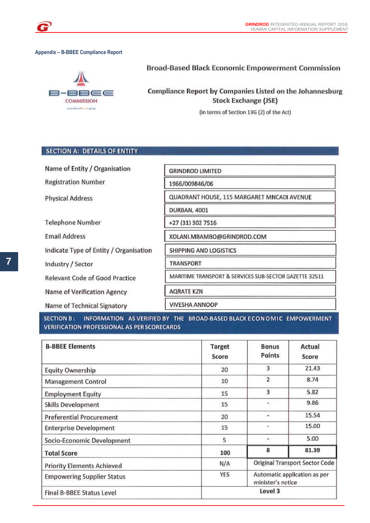## **Appendix – B-BBEE Compliance Report**

# ———  $=$   $=$   $-$ **COMMISSION** smember of the disgring

## **Broad-Based Black Economic Empowerment Commission**

# **Compliance Report by Companies Listed on the Johannesburg Stock Exchange (JSE)**

(in terms of Section 13G (2) of the Act)

## **SECTION A: DETAILS OF ENTITY**

Name of Entity / Organisation **GRINDROD LIMITED Registration Number** 1966/009846/06 QUADRANT HOUSE, 115 MARGARET MNCADI AVENUE **Physical Address DURBAN, 4001 Telephone Number** +27 (31) 302 7516 **Email Address** XOLANI.MBAMBO@GRINDROD.COM Indicate Type of Entity / Organisation SHIPPING AND LOGISTICS Industry / Sector **TRANSPORT** MARITIME TRANSPORT & SERVICES SUB-SECTOR GAZETTE 32511 **Relevant Code of Good Practice** Name of Verification Agency **AORATE KZN VIVESHA ANNOOP** Name of Technical Signatory

INFORMATION AS VERIFIED BY THE BROAD-BASED BLACK ECONOMIC EMPOWERMENT **SECTION B: VERIFICATION PROFESSIONAL AS PER SCORECARDS** 

| <b>B-BBEE Elements</b>            | Target<br>Score | <b>Bonus</b><br>Points                            | Actual<br>Score                       |  |
|-----------------------------------|-----------------|---------------------------------------------------|---------------------------------------|--|
| <b>Equity Ownership</b>           | 20              | 3                                                 | 21.43                                 |  |
| <b>Management Control</b>         | 10              | 2                                                 | 8.74                                  |  |
| <b>Employment Equity</b>          | 15              | 3                                                 | 5.82                                  |  |
| <b>Skills Development</b>         | 15              | $\sim$                                            | 9.86                                  |  |
| <b>Preferential Procurement</b>   | 20              | ۰                                                 | 15.54                                 |  |
| <b>Enterprise Development</b>     | 15              | $\tilde{\phantom{a}}$                             | 15.00                                 |  |
| Socio-Economic Development        | 5               | ۰                                                 | 5.00                                  |  |
| <b>Total Score</b>                | 100             | 8                                                 | 81.39                                 |  |
| <b>Priority Elements Achieved</b> | N/A             |                                                   | <b>Original Transport Sector Code</b> |  |
| <b>Empowering Supplier Status</b> | YES             | Automatic application as per<br>minister's notice |                                       |  |
| Final B-BBEE Status Level         |                 | Level 3                                           |                                       |  |